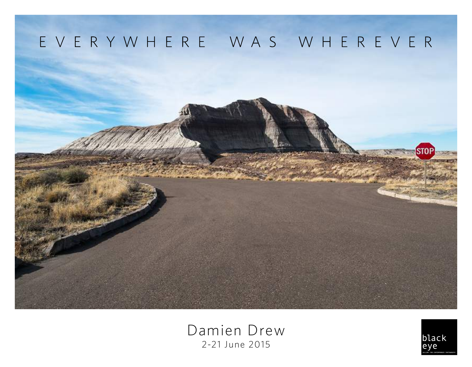

Damien Drew 2-21 June 2015

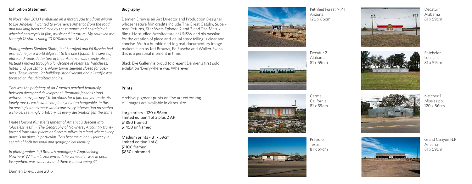## Exhibition Statement

*In November 2013 I embarked on a motorcycle trip from Miami to Los Angeles. I wanted to experience America from the road and had long been seduced by the romance and nostalgia of wheeled portrayals in film, music and literature. My route led me through 12 states riding 10,000kms over 18 days.* 

*Photographers Stephen Shore, Joel Sternfeld and Ed Ruscha had primed me for a world different to the one I found. The sense of place and roadside texture of their America was starkly absent. Instead I moved through a landscape of relentless franchises, hotels and gas stations. Many towns seemed closed for busi ness. Their vernacular buildings stood vacant and all traffic was focused on the ubiquitous chains.*

*This was the periphery of an America perched tenuously between decay and development. Remnant facades stood witness to my journey like locations for a film not yet made. As lonely masks each sat incomplete yet interchangeable. In this increasingly anonymous landscape every intersection presented a choice, seemingly arbitrary, as every destination felt the same.* 

*I note Howard Kunstler's lament of America's descent into 'placelessness' in 'The Geography of Nowhere'. A country trans formed from vital places and communities to a land where every place is no place in particular. This became a lonely journey in search of both personal and geographical identity.*

*In photographer Jeff Brouw's monograph 'Approaching Nowhere' William L. Fox writes; "the vernacular was in peril. Everywhere was wherever and there is no escaping it".*

## Biography

Damien Drew is an Art Director and Production Designer whose feature film credits include The Great Gatsby, Super man Returns, Star Wars Episode 2 and 3 and The Matrix films. He studied Architecture at UNSW and his passion for the creation of place and visual story telling is clear and concise. With a humble nod to great documentary image makers such as Jeff Brouws, Ed Ruscha and Walker Evans this is a personal moment in time.

Black Eye Gallery is proud to present Damien's first solo exhibition 'Everywhere was Wherever'

## Prints

Archival pigment prints on fine art cotton rag. All images are available in either size.

Large prints - 120 x 86cm limited edition 1 of 3 plus 2 AP \$1850 framed \$1450 unframed

Medium prints - 81 x 59cm limited edition 1 of 8 \$1100 framed \$850 unframed



Decatur 2 Alabama 81 x 59cm





Presidio Texas 81 x 59cm





Batchelor Lousiana 81 x 59cm

Decatur 1 Alabama 81 x 59cm









Grand Canyon N.P Arizona 81 x 59cm

Damien Drew, June 2015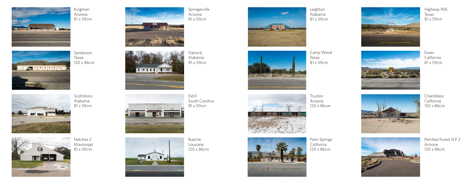

Kingman Arizona 81 x 59cm





Natchez 2 Mississippi 81 x 59cm

Scottsboro Alabama 81 x 59cm







Springerville Arizona 81 x 59cm

> Estill South Carolina 81 x 59cm

Bueche Lousiana 120 x 86cm



Camp Wood Texas 81 x 59cm



**March of the State of the State** 

Palm Springs California 120 x 86cm



Highway 90E Texas 81 x 59cm

















Petrified Forest N.P 2 Arizona 120 x 86cm